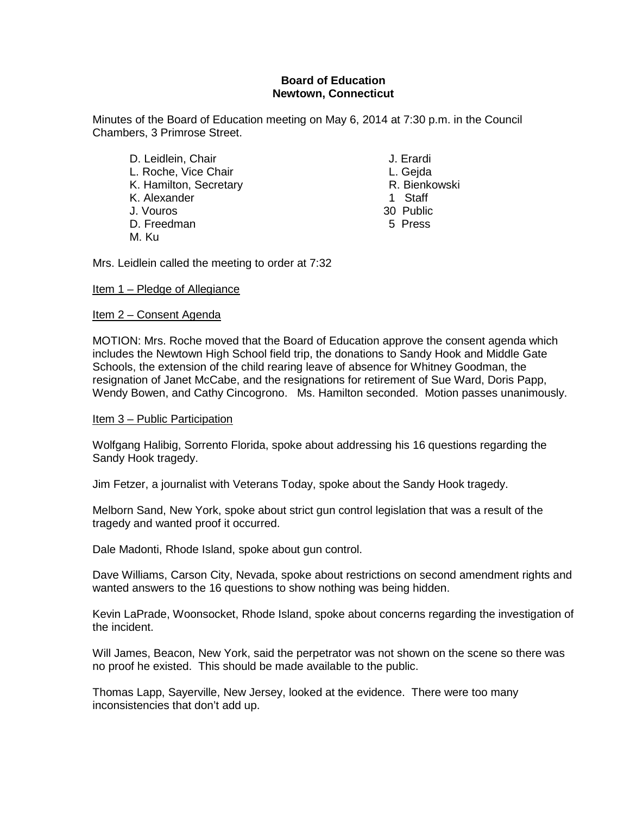#### **Board of Education Newtown, Connecticut**

Minutes of the Board of Education meeting on May 6, 2014 at 7:30 p.m. in the Council Chambers, 3 Primrose Street.

- D. Leidlein, Chair **J. Erardi** L. Roche, Vice Chair **L. Geganner Communist Communist Communist Communist Communist Communist Communist Communist Communist Communist Communist Communist Communist Communist Communist Communist Communist Communist Communis** K. Hamilton, Secretary **R. Bienkowski**n, Secretary R. Bienkowskin, R. Bienkowskin, R. Bienkowskin, R. Bienkowski<br>K. Alexander A. Bienkowskin, R. Bienkowskin, R. Bienkowskin, R. Bienkowskin, R. Bienkowskin, R. Bienkowskin, K. Alexander<br>J. Vouros D. Freedman 5 Press M. Ku
- -
	-
	-
	- 30 Public
	-

Mrs. Leidlein called the meeting to order at 7:32

#### Item 1 – Pledge of Allegiance

#### Item 2 – Consent Agenda

MOTION: Mrs. Roche moved that the Board of Education approve the consent agenda which includes the Newtown High School field trip, the donations to Sandy Hook and Middle Gate Schools, the extension of the child rearing leave of absence for Whitney Goodman, the resignation of Janet McCabe, and the resignations for retirement of Sue Ward, Doris Papp, Wendy Bowen, and Cathy Cincogrono. Ms. Hamilton seconded. Motion passes unanimously.

#### Item 3 – Public Participation

Wolfgang Halibig, Sorrento Florida, spoke about addressing his 16 questions regarding the Sandy Hook tragedy.

Jim Fetzer, a journalist with Veterans Today, spoke about the Sandy Hook tragedy.

Melborn Sand, New York, spoke about strict gun control legislation that was a result of the tragedy and wanted proof it occurred.

Dale Madonti, Rhode Island, spoke about gun control.

Dave Williams, Carson City, Nevada, spoke about restrictions on second amendment rights and wanted answers to the 16 questions to show nothing was being hidden.

Kevin LaPrade, Woonsocket, Rhode Island, spoke about concerns regarding the investigation of the incident.

Will James, Beacon, New York, said the perpetrator was not shown on the scene so there was no proof he existed. This should be made available to the public.

Thomas Lapp, Sayerville, New Jersey, looked at the evidence. There were too many inconsistencies that don't add up.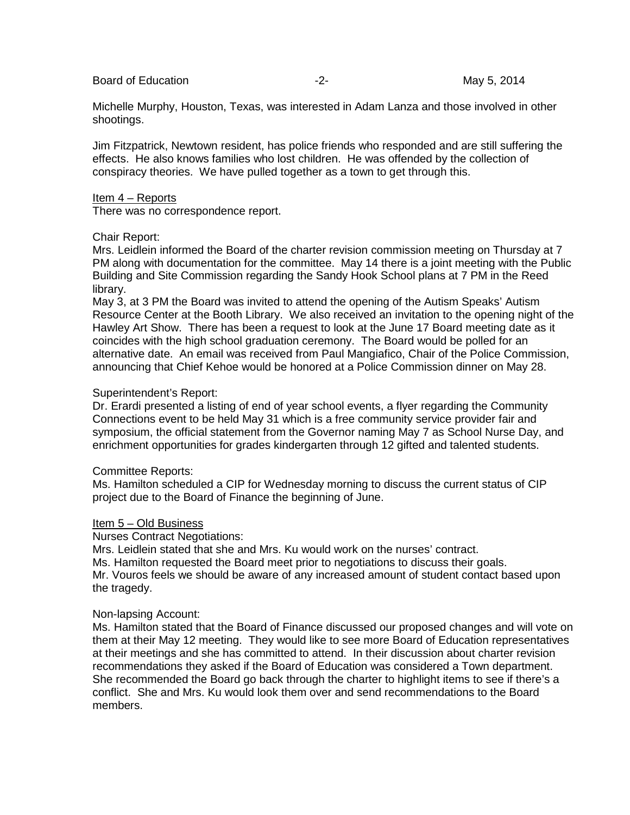Board of Education **Contract Contract Contract Contract Contract Contract Contract Contract Contract Contract Contract Contract Contract Contract Contract Contract Contract Contract Contract Contract Contract Contract Cont** 

Michelle Murphy, Houston, Texas, was interested in Adam Lanza and those involved in other shootings.

Jim Fitzpatrick, Newtown resident, has police friends who responded and are still suffering the effects. He also knows families who lost children. He was offended by the collection of conspiracy theories. We have pulled together as a town to get through this.

#### Item 4 – Reports

There was no correspondence report.

#### Chair Report:

Mrs. Leidlein informed the Board of the charter revision commission meeting on Thursday at 7 PM along with documentation for the committee. May 14 there is a joint meeting with the Public Building and Site Commission regarding the Sandy Hook School plans at 7 PM in the Reed library.

May 3, at 3 PM the Board was invited to attend the opening of the Autism Speaks' Autism Resource Center at the Booth Library. We also received an invitation to the opening night of the Hawley Art Show. There has been a request to look at the June 17 Board meeting date as it coincides with the high school graduation ceremony. The Board would be polled for an alternative date. An email was received from Paul Mangiafico, Chair of the Police Commission, announcing that Chief Kehoe would be honored at a Police Commission dinner on May 28.

#### Superintendent's Report:

Dr. Erardi presented a listing of end of year school events, a flyer regarding the Community Connections event to be held May 31 which is a free community service provider fair and symposium, the official statement from the Governor naming May 7 as School Nurse Day, and enrichment opportunities for grades kindergarten through 12 gifted and talented students.

#### Committee Reports:

Ms. Hamilton scheduled a CIP for Wednesday morning to discuss the current status of CIP project due to the Board of Finance the beginning of June.

#### Item 5 – Old Business

Nurses Contract Negotiations:

Mrs. Leidlein stated that she and Mrs. Ku would work on the nurses' contract. Ms. Hamilton requested the Board meet prior to negotiations to discuss their goals. Mr. Vouros feels we should be aware of any increased amount of student contact based upon the tragedy.

#### Non-lapsing Account:

Ms. Hamilton stated that the Board of Finance discussed our proposed changes and will vote on them at their May 12 meeting. They would like to see more Board of Education representatives at their meetings and she has committed to attend. In their discussion about charter revision recommendations they asked if the Board of Education was considered a Town department. She recommended the Board go back through the charter to highlight items to see if there's a conflict. She and Mrs. Ku would look them over and send recommendations to the Board members.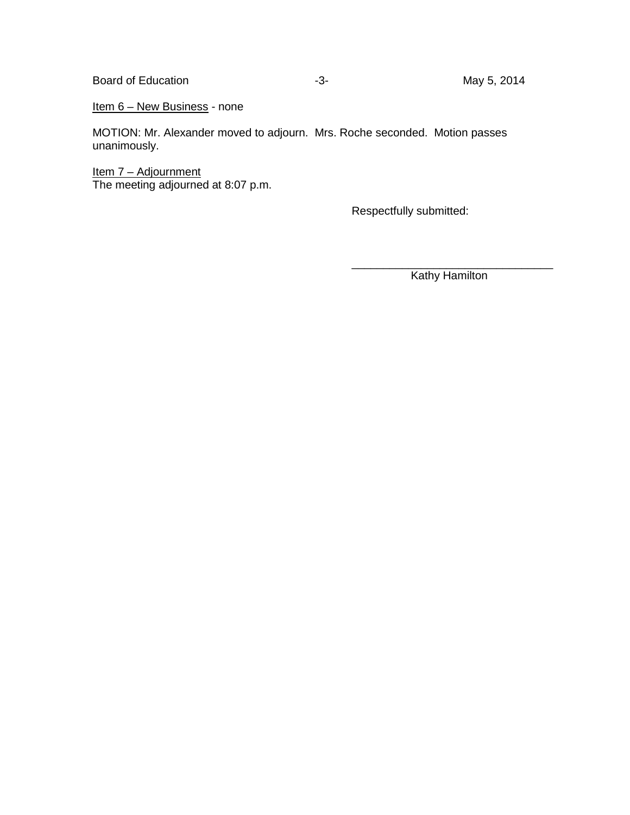Board of Education **Contract Contract Contract Contract Contract Contract Contract Contract Contract Contract Contract Contract Contract Contract Contract Contract Contract Contract Contract Contract Contract Contract Cont** 

Item 6 – New Business - none

MOTION: Mr. Alexander moved to adjourn. Mrs. Roche seconded. Motion passes unanimously.

<u> Item 7 – Adjournment</u> The meeting adjourned at 8:07 p.m.

Respectfully submitted:

\_\_\_\_\_\_\_\_\_\_\_\_\_\_\_\_\_\_\_\_\_\_\_\_\_\_\_\_\_\_\_\_ Kathy Hamilton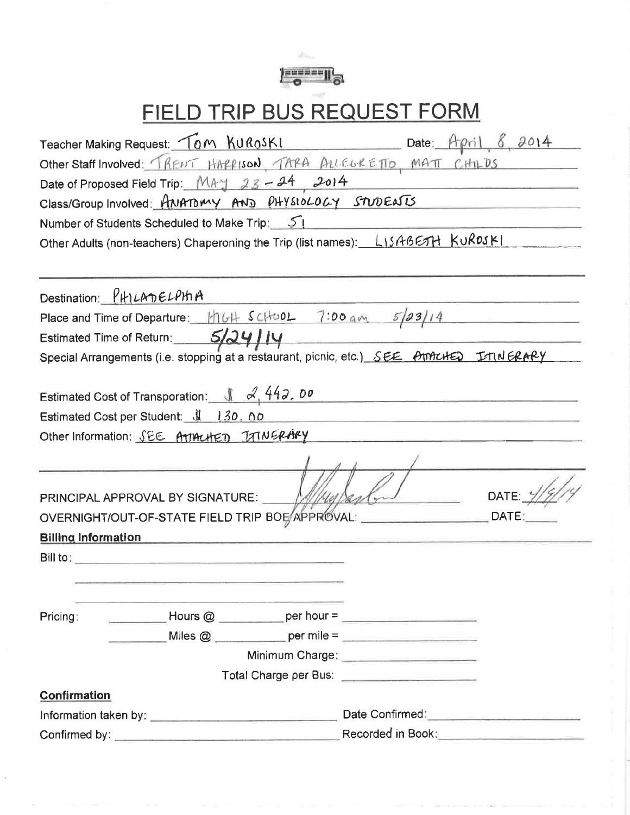

# FIELD TRIP BUS REQUEST FORM

| Teacher Making Request: Tom KURoSKI Date: April 8, 2014                                          |  |
|--------------------------------------------------------------------------------------------------|--|
| Other Staff Involved: TRENT HAPPISON, TAPA ALLEGRETTO, MATT CHILDS                               |  |
| Date of Proposed Field Trip: MAY 23-24 2014                                                      |  |
| Class/Group Involved: ANATOMY AND PHYSIOLOGY STUDENTS                                            |  |
| Number of Students Scheduled to Make Trip: 51                                                    |  |
| Other Adults (non-teachers) Chaperoning the Trip (list names): LISABETH KUROSKI                  |  |
|                                                                                                  |  |
| Destination: PHILADELPHA                                                                         |  |
| Place and Time of Departure: $\frac{1}{16} + \frac{1}{160} - \frac{7.00}{100} = \frac{5}{23}/14$ |  |
| Estimated Time of Return: 5/24 J JY                                                              |  |
| Special Arrangements (i.e. stopping at a restaurant, picnic, etc.) SEE AMACHED ITINERARY         |  |
|                                                                                                  |  |
| Estimated Cost of Transporation: $\sqrt{442.00}$                                                 |  |
| Estimated Cost per Student: \$ 130.00                                                            |  |
| Other Information: SEE ATTACHED JAINERARY                                                        |  |
|                                                                                                  |  |
|                                                                                                  |  |
| DATE:<br>PRINCIPAL APPROVAL BY SIGNATURE:                                                        |  |
| OVERNIGHT/OUT-OF-STATE FIELD TRIP BOE/APPROVAL:<br>DATE:                                         |  |
| <b>Billing Information</b>                                                                       |  |
| $Bill$ to:                                                                                       |  |
|                                                                                                  |  |
|                                                                                                  |  |
| Pricing:                                                                                         |  |
|                                                                                                  |  |
|                                                                                                  |  |
| Total Charge per Bus: <b>contract to the Charge per Bus:</b>                                     |  |
| <b>Confirmation</b>                                                                              |  |
|                                                                                                  |  |
| Recorded in Book: <u>______________________</u>                                                  |  |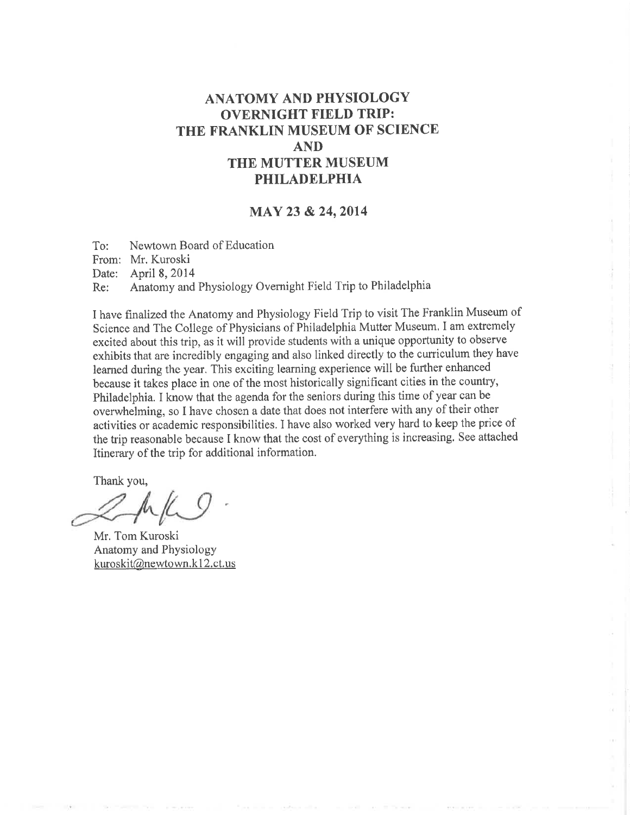### **ANATOMY AND PHYSIOLOGY OVERNIGHT FIELD TRIP:** THE FRANKLIN MUSEUM OF SCIENCE **AND** THE MUTTER MUSEUM **PHILADELPHIA**

#### MAY 23 & 24, 2014

Newtown Board of Education  $To:$ From: Mr. Kuroski Date: April 8, 2014 Anatomy and Physiology Overnight Field Trip to Philadelphia Re:

I have finalized the Anatomy and Physiology Field Trip to visit The Franklin Museum of Science and The College of Physicians of Philadelphia Mutter Museum. I am extremely excited about this trip, as it will provide students with a unique opportunity to observe exhibits that are incredibly engaging and also linked directly to the curriculum they have learned during the year. This exciting learning experience will be further enhanced because it takes place in one of the most historically significant cities in the country, Philadelphia. I know that the agenda for the seniors during this time of year can be overwhelming, so I have chosen a date that does not interfere with any of their other activities or academic responsibilities. I have also worked very hard to keep the price of the trip reasonable because I know that the cost of everything is increasing. See attached Itinerary of the trip for additional information.

Thank you,

Mr. Tom Kuroski Anatomy and Physiology kuroskit@newtown.k12.ct.us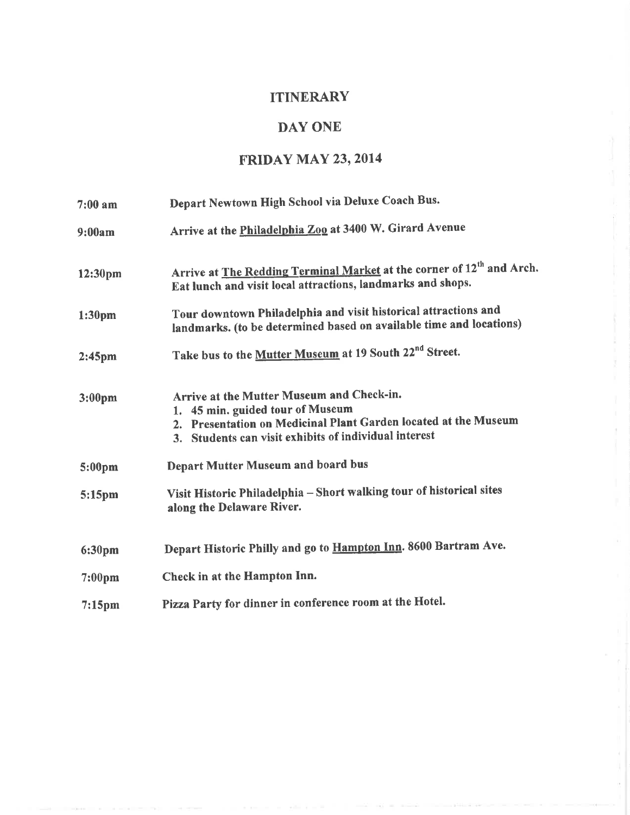## **ITINERARY**

## DAY ONE

## **FRIDAY MAY 23, 2014**

| $7:00$ am          | Depart Newtown High School via Deluxe Coach Bus.                                                                                                                                                          |
|--------------------|-----------------------------------------------------------------------------------------------------------------------------------------------------------------------------------------------------------|
| 9:00am             | Arrive at the <b>Philadelphia Zoo</b> at 3400 W. Girard Avenue                                                                                                                                            |
| 12:30pm            | Arrive at <b>The Redding Terminal Market</b> at the corner of 12 <sup>th</sup> and Arch.<br>Eat lunch and visit local attractions, landmarks and shops.                                                   |
| 1:30 <sub>pm</sub> | Tour downtown Philadelphia and visit historical attractions and<br>landmarks. (to be determined based on available time and locations)                                                                    |
| 2:45 <sub>pm</sub> | Take bus to the Mutter Museum at 19 South 22 <sup>nd</sup> Street.                                                                                                                                        |
| 3:00 <sub>pm</sub> | Arrive at the Mutter Museum and Check-in.<br>1. 45 min. guided tour of Museum<br>2. Presentation on Medicinal Plant Garden located at the Museum<br>3. Students can visit exhibits of individual interest |
| 5:00pm             | <b>Depart Mutter Museum and board bus</b>                                                                                                                                                                 |
| 5:15pm             | Visit Historic Philadelphia - Short walking tour of historical sites<br>along the Delaware River.                                                                                                         |
| 6:30pm             | Depart Historic Philly and go to Hampton Inn. 8600 Bartram Ave.                                                                                                                                           |
| 7:00 <sub>pm</sub> | Check in at the Hampton Inn.                                                                                                                                                                              |
| $7:15$ pm          | Pizza Party for dinner in conference room at the Hotel.                                                                                                                                                   |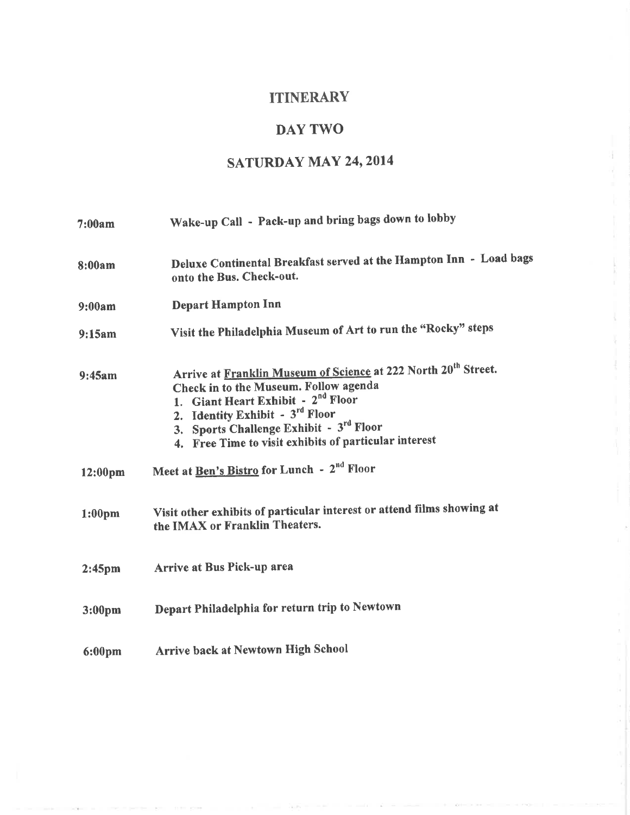## **ITINERARY**

## **DAY TWO**

## **SATURDAY MAY 24, 2014**

| 7:00am             | Wake-up Call - Pack-up and bring bags down to lobby                                                                                                                                                                                                                                                          |
|--------------------|--------------------------------------------------------------------------------------------------------------------------------------------------------------------------------------------------------------------------------------------------------------------------------------------------------------|
| 8:00am             | Deluxe Continental Breakfast served at the Hampton Inn - Load bags<br>onto the Bus. Check-out.                                                                                                                                                                                                               |
| 9:00am             | <b>Depart Hampton Inn</b>                                                                                                                                                                                                                                                                                    |
| 9:15am             | Visit the Philadelphia Museum of Art to run the "Rocky" steps                                                                                                                                                                                                                                                |
| 9:45am             | Arrive at Franklin Museum of Science at 222 North 20 <sup>th</sup> Street.<br>Check in to the Museum. Follow agenda<br>1. Giant Heart Exhibit - 2 <sup>nd</sup> Floor<br>2. Identity Exhibit - 3rd Floor<br>3. Sports Challenge Exhibit - 3rd Floor<br>4. Free Time to visit exhibits of particular interest |
| 12:00pm            | Meet at Ben's Bistro for Lunch - 2 <sup>nd</sup> Floor                                                                                                                                                                                                                                                       |
| 1:00 <sub>pm</sub> | Visit other exhibits of particular interest or attend films showing at<br>the IMAX or Franklin Theaters.                                                                                                                                                                                                     |
| 2:45 <sub>pm</sub> | Arrive at Bus Pick-up area                                                                                                                                                                                                                                                                                   |
| 3:00 <sub>pm</sub> | Depart Philadelphia for return trip to Newtown                                                                                                                                                                                                                                                               |
| 6:00pm             | Arrive back at Newtown High School                                                                                                                                                                                                                                                                           |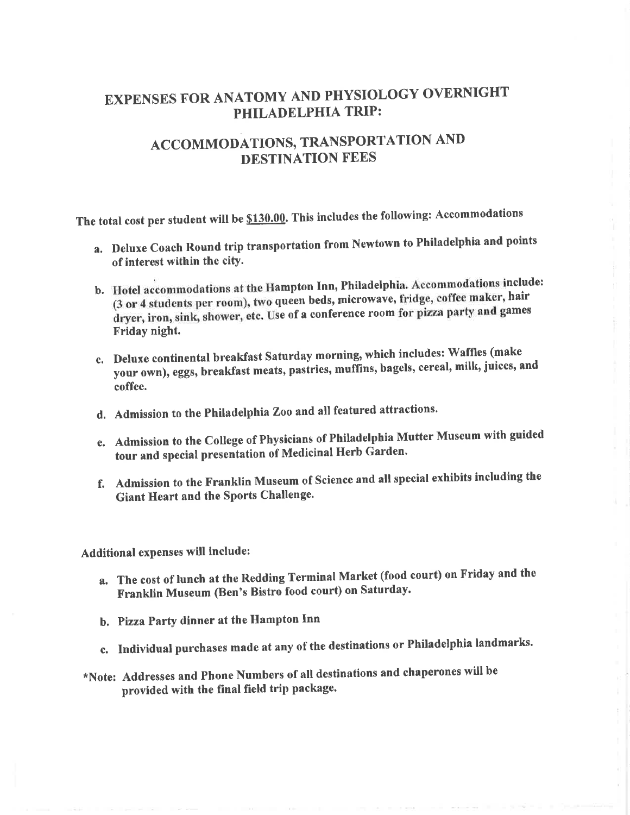## **EXPENSES FOR ANATOMY AND PHYSIOLOGY OVERNIGHT** PHILADELPHIA TRIP:

## ACCOMMODATIONS, TRANSPORTATION AND DESTINATION FEES

The total cost per student will be \$130.00. This includes the following: Accommodations

- a. Deluxe Coach Round trip transportation from Newtown to Philadelphia and points of interest within the city.
- b. Hotel accommodations at the Hampton Inn, Philadelphia. Accommodations include: (3 or 4 students per room), two queen beds, microwave, fridge, coffee maker, hair dryer, iron, sink, shower, etc. Use of a conference room for pizza party and games Friday night.
- c. Deluxe continental breakfast Saturday morning, which includes: Waffles (make your own), eggs, breakfast meats, pastries, muffins, bagels, cereal, milk, juices, and coffee.
- d. Admission to the Philadelphia Zoo and all featured attractions.
- e. Admission to the College of Physicians of Philadelphia Mutter Museum with guided tour and special presentation of Medicinal Herb Garden.
- f. Admission to the Franklin Museum of Science and all special exhibits including the **Giant Heart and the Sports Challenge.**

Additional expenses will include:

- a. The cost of lunch at the Redding Terminal Market (food court) on Friday and the Franklin Museum (Ben's Bistro food court) on Saturday.
- b. Pizza Party dinner at the Hampton Inn
- c. Individual purchases made at any of the destinations or Philadelphia landmarks.
- \*Note: Addresses and Phone Numbers of all destinations and chaperones will be provided with the final field trip package.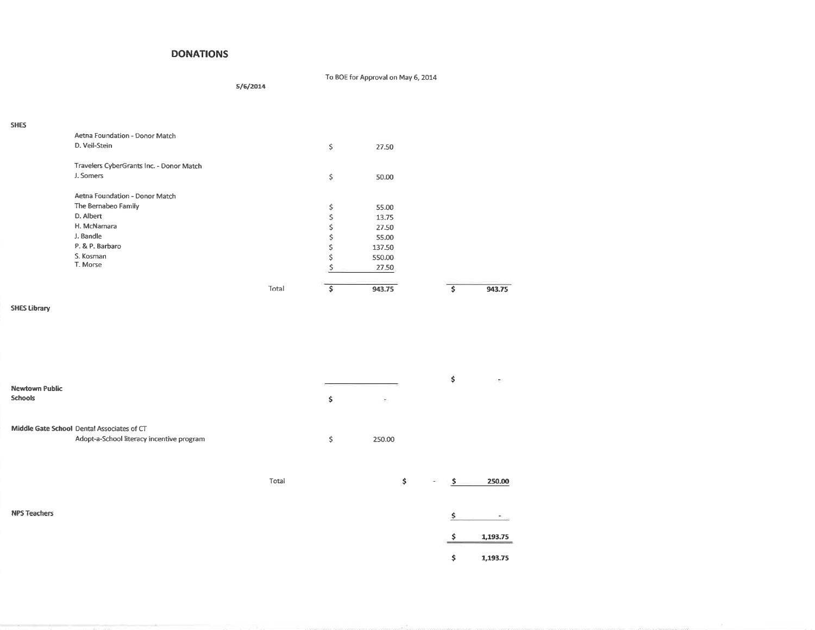#### **DONATIONS**

#### To BOE for Approval on May 6, 2014

 $5/6/2014$ 

| × | ٧ |
|---|---|

| Aetna Foundation - Donor Match           |              |    |        |        |
|------------------------------------------|--------------|----|--------|--------|
| D. Veil-Stein                            |              | \$ | 27.50  |        |
| Travelers CyberGrants Inc. - Donor Match |              |    |        |        |
| J. Somers                                |              | \$ | 50.00  |        |
| Aetna Foundation - Donor Match           |              |    |        |        |
| The Bernabeo Family                      |              | \$ | 55.00  |        |
| D. Albert                                |              |    | 13.75  |        |
| H. McNamara                              |              | Ś  | 27.50  |        |
| J. Bandle                                |              | \$ | 55.00  |        |
| P. & P. Barbaro                          |              | Ś  | 137.50 |        |
| S. Kosman                                |              |    | 550.00 |        |
| T. Morse                                 |              |    | 27.50  |        |
|                                          | <b>Total</b> | Ś  | 943.75 | 943.75 |
|                                          |              |    |        |        |

#### **SHES Library**

| <b>Newtown Public</b><br><b>Schools</b>                                                 |       | \$<br>$\mathbb{R}^3$ |   | \$<br>÷,       |
|-----------------------------------------------------------------------------------------|-------|----------------------|---|----------------|
| Middle Gate School Dental Associates of CT<br>Adopt-a-School literacy incentive program |       | \$<br>250.00         |   |                |
|                                                                                         | Total | \$                   | ÷ | 250.00<br>-\$  |
| <b>NPS Teachers</b>                                                                     |       |                      |   | Ś              |
|                                                                                         |       |                      |   | 1,193.75       |
|                                                                                         |       |                      |   | \$<br>1,193.75 |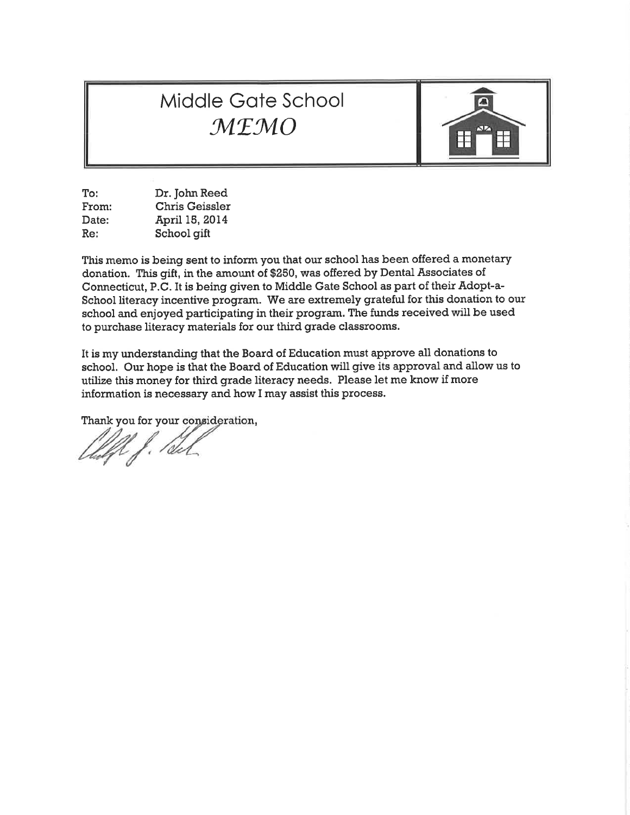## Middle Gate School MEMO



To: Dr. John Reed From: **Chris Geissler** April 15, 2014 Date: Re: School gift

This memo is being sent to inform you that our school has been offered a monetary donation. This gift, in the amount of \$250, was offered by Dental Associates of Connecticut, P.C. It is being given to Middle Gate School as part of their Adopt-a-School literacy incentive program. We are extremely grateful for this donation to our school and enjoyed participating in their program. The funds received will be used to purchase literacy materials for our third grade classrooms.

It is my understanding that the Board of Education must approve all donations to school. Our hope is that the Board of Education will give its approval and allow us to utilize this money for third grade literacy needs. Please let me know if more information is necessary and how I may assist this process.

Thank you for your consideration,

UJ. Paul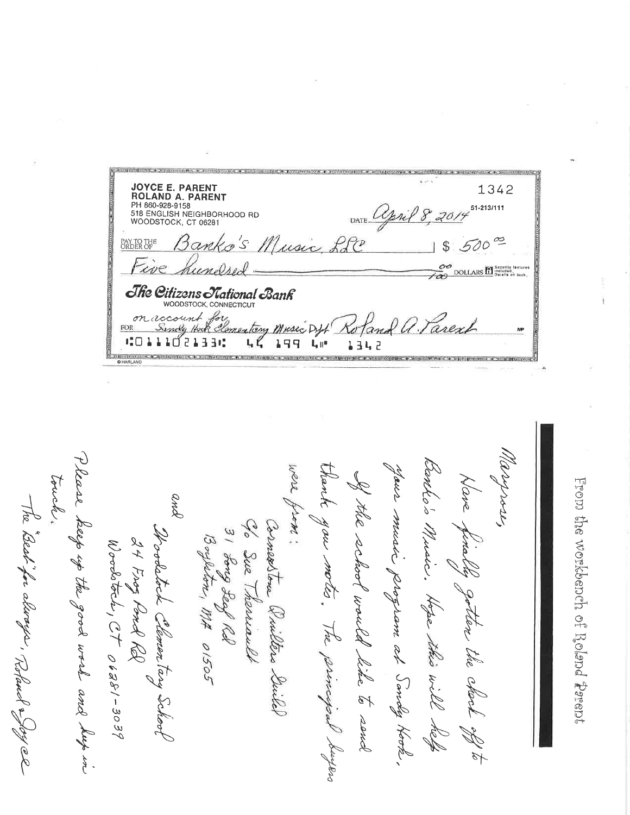после то возвышая + также опасах. к энципарное + ж принятие в жалибатие + х поль **JOYCE E. PARENT<br>ROLAND A. PARENT<br>PH 860-928-9158<br>518 ENGLISH NEIGHBORHOOD RD<br>WOODSTOCK, CT 06281** 1342 51-213/111 DATE Cepsil Jusic LLC  $\tilde{\mathfrak{D}}$ PAY TO THE ORDER OF DOLLARS<sup>S</sup> Security leatures oc The Citizens National Bank WOODSTOCK, CONNECTICUT account for<br>Sindy Hock Clementary Music on account  ${\rm FOR}$ Diff  $10111021330$  $L, K$ 199  $\mathbf{L}_\mathbf{r}$   $\mathbf{R}^{\mathbf{u}}$ 1342 introduced a security species requirements in a sympathetic requirement in a CRAINPOSTER + SUPPORTED **@HARLANI** 

Please. were touche aus music 260'o and The Best for always, Robard & Joy el the keep up the good work and hup in y ou . Music. Boyleton, MA 01505 24 Frog Pond RQ schoo  $W$ ordstrik, CT 06281-3039 orpan program at Sandy Hook. to Clemen I would like to send herbian Hope 9 Rel The this will Deiled **Help**  $\frac{2}{3}$ 

From the workbench of Roland Prent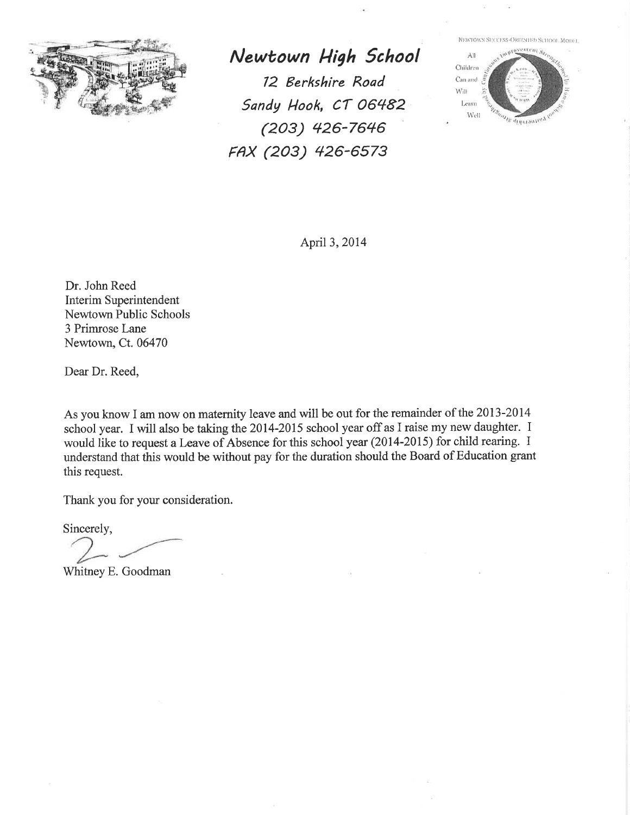

Newtown High School 12 Berkshire Road Sandy Hook, CT 06482  $(203)$  426-7646 FAX (203) 426-6573

NEWTOWN SUCCESS-ORIENTED SCHOOL MODEL



April 3, 2014

Dr. John Reed Interim Superintendent Newtown Public Schools 3 Primrose Lane Newtown, Ct. 06470

Dear Dr. Reed,

As you know I am now on maternity leave and will be out for the remainder of the 2013-2014 school year. I will also be taking the 2014-2015 school year off as I raise my new daughter. I would like to request a Leave of Absence for this school year (2014-2015) for child rearing. I understand that this would be without pay for the duration should the Board of Education grant this request.

Thank you for your consideration.

Sincerely,

Whitney E. Goodman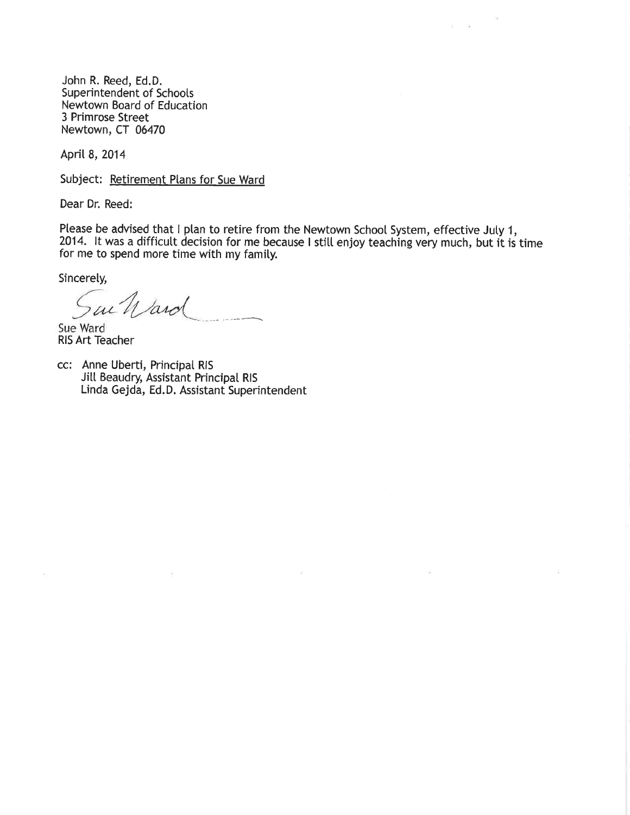John R. Reed, Ed.D. Superintendent of Schools Newtown Board of Education 3 Primrose Street Newtown, CT 06470

April 8, 2014

Subject: Retirement Plans for Sue Ward

Dear Dr. Reed:

Please be advised that I plan to retire from the Newtown School System, effective July 1, 2014. It was a difficult decision for me because I still enjoy teaching very much, but it is time for me to spend more time with my family.

 $\zeta$ 

Sincerely,

ac Ward

Sue Ward **RIS Art Teacher** 

cc: Anne Uberti, Principal RIS Jill Beaudry, Assistant Principal RIS Linda Gejda, Ed.D. Assistant Superintendent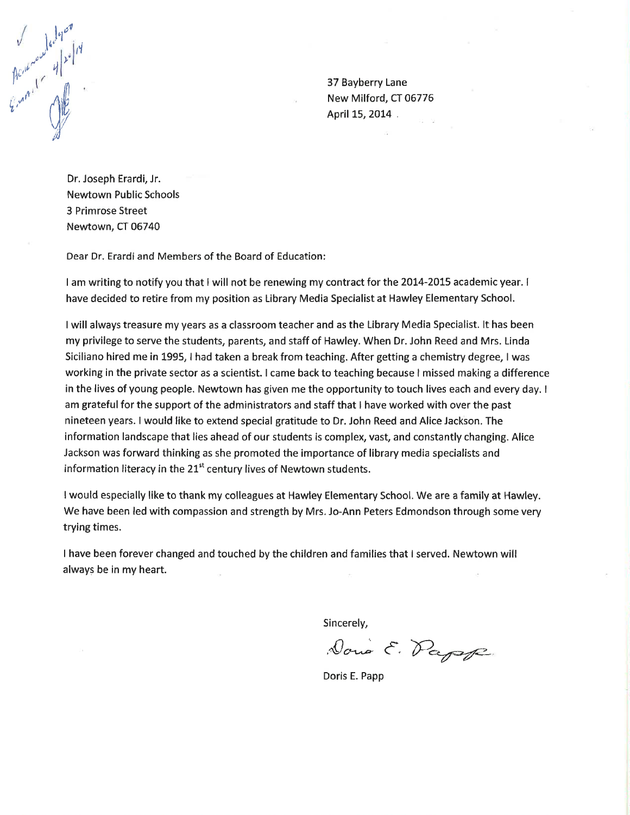

37 Bayberry Lane New Milford, CT 06776 April 15, 2014

Dr. Joseph Erardi, Jr. **Newtown Public Schools** 3 Primrose Street Newtown, CT 06740

Dear Dr. Erardi and Members of the Board of Education:

I am writing to notify you that I will not be renewing my contract for the 2014-2015 academic year. I have decided to retire from my position as Library Media Specialist at Hawley Elementary School.

I will always treasure my years as a classroom teacher and as the Library Media Specialist. It has been my privilege to serve the students, parents, and staff of Hawley. When Dr. John Reed and Mrs. Linda Siciliano hired me in 1995, I had taken a break from teaching. After getting a chemistry degree, I was working in the private sector as a scientist. I came back to teaching because I missed making a difference in the lives of young people. Newtown has given me the opportunity to touch lives each and every day. I am grateful for the support of the administrators and staff that I have worked with over the past nineteen years. I would like to extend special gratitude to Dr. John Reed and Alice Jackson. The information landscape that lies ahead of our students is complex, vast, and constantly changing. Alice Jackson was forward thinking as she promoted the importance of library media specialists and information literacy in the 21<sup>st</sup> century lives of Newtown students.

I would especially like to thank my colleagues at Hawley Elementary School. We are a family at Hawley. We have been led with compassion and strength by Mrs. Jo-Ann Peters Edmondson through some very trying times.

I have been forever changed and touched by the children and families that I served. Newtown will always be in my heart.

Sincerely,

Dono E. Papel

Doris E. Papp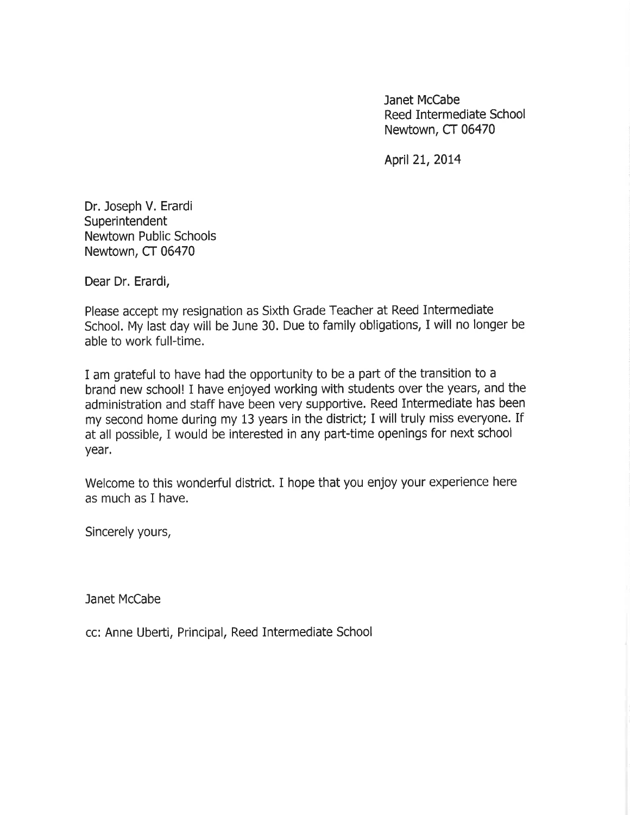Janet McCabe Reed Intermediate School Newtown, CT 06470

April 21, 2014

Dr. Joseph V. Erardi Superintendent Newtown Public Schools Newtown, CT 06470

Dear Dr. Erardi,

Please accept my resignation as Sixth Grade Teacher at Reed Intermediate School. My last day will be June 30. Due to family obligations, I will no longer be able to work full-time.

I am grateful to have had the opportunity to be a part of the transition to a brand new school! I have enjoyed working with students over the years, and the administration and staff have been very supportive. Reed Intermediate has been my second home during my 13 years in the district; I will truly miss everyone. If at all possible, I would be interested in any part-time openings for next school year.

Welcome to this wonderful district. I hope that you enjoy your experience here as much as I have.

Sincerely yours,

Janet McCabe

cc: Anne Uberti, Principal, Reed Intermediate School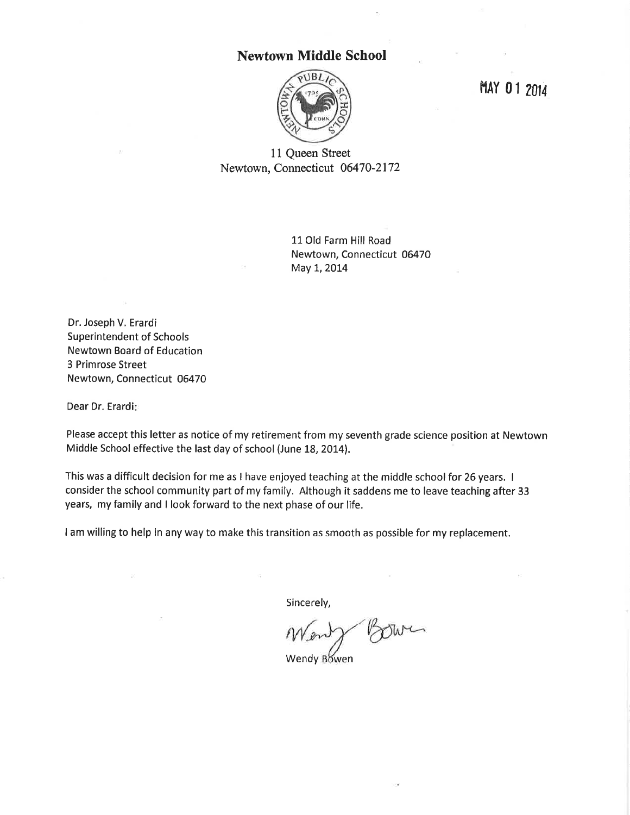#### **Newtown Middle School**



MAY 01 2014

11 Queen Street Newtown, Connecticut 06470-2172

> 11 Old Farm Hill Road Newtown, Connecticut 06470 May 1, 2014

Dr. Joseph V. Erardi **Superintendent of Schools Newtown Board of Education** 3 Primrose Street Newtown, Connecticut 06470

Dear Dr. Erardi:

Please accept this letter as notice of my retirement from my seventh grade science position at Newtown Middle School effective the last day of school (June 18, 2014).

This was a difficult decision for me as I have enjoyed teaching at the middle school for 26 years. I consider the school community part of my family. Although it saddens me to leave teaching after 33 years, my family and I look forward to the next phase of our life.

I am willing to help in any way to make this transition as smooth as possible for my replacement.

Sincerely,

Wendy Bowen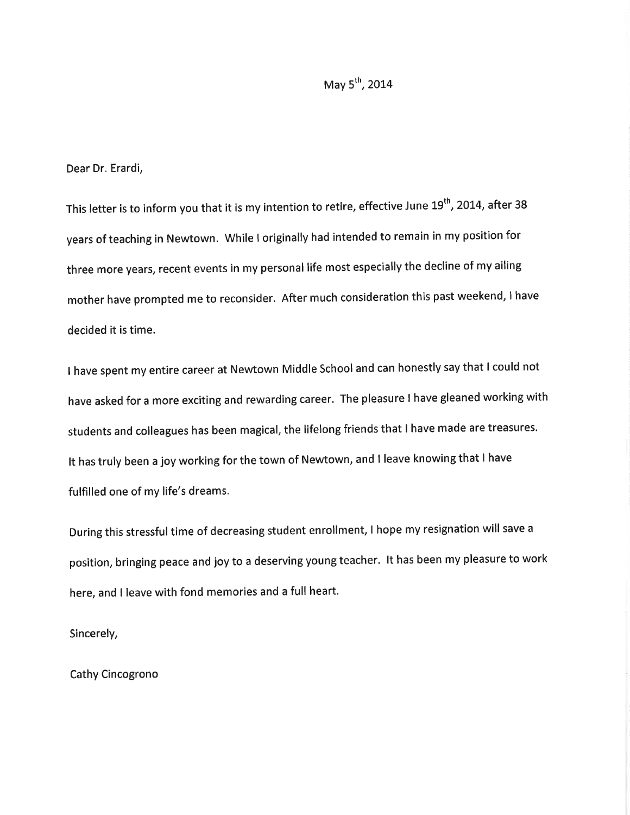#### May 5<sup>th</sup>, 2014

#### Dear Dr. Erardi,

This letter is to inform you that it is my intention to retire, effective June 19<sup>th</sup>, 2014, after 38 years of teaching in Newtown. While I originally had intended to remain in my position for three more years, recent events in my personal life most especially the decline of my ailing mother have prompted me to reconsider. After much consideration this past weekend, I have decided it is time.

I have spent my entire career at Newtown Middle School and can honestly say that I could not have asked for a more exciting and rewarding career. The pleasure I have gleaned working with students and colleagues has been magical, the lifelong friends that I have made are treasures. It has truly been a joy working for the town of Newtown, and I leave knowing that I have fulfilled one of my life's dreams.

During this stressful time of decreasing student enrollment, I hope my resignation will save a position, bringing peace and joy to a deserving young teacher. It has been my pleasure to work here, and I leave with fond memories and a full heart.

Sincerely,

Cathy Cincogrono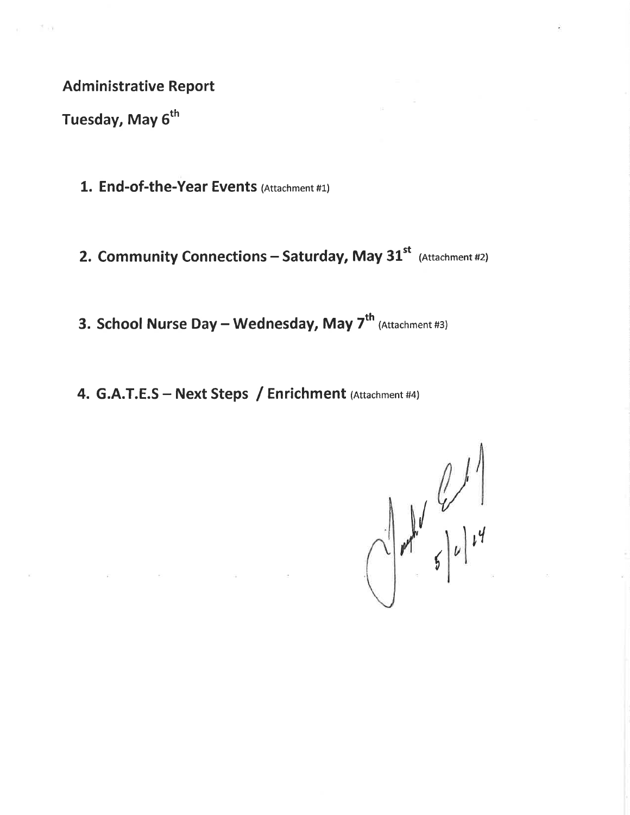**Administrative Report** 

Tuesday, May 6<sup>th</sup>

 $\overline{K}$  . The set of the  $\overline{K}$ 

- 1. End-of-the-Year Events (Attachment #1)
- 2. Community Connections Saturday, May 31<sup>st</sup> (Attachment #2)

3. School Nurse Day - Wednesday, May 7<sup>th</sup> (Attachment #3)

4. G.A.T.E.S - Next Steps / Enrichment (Attachment #4)

 $\frac{1}{2}$   $\frac{1}{2}$   $\frac{1}{2}$   $\frac{1}{2}$   $\frac{1}{2}$   $\frac{1}{2}$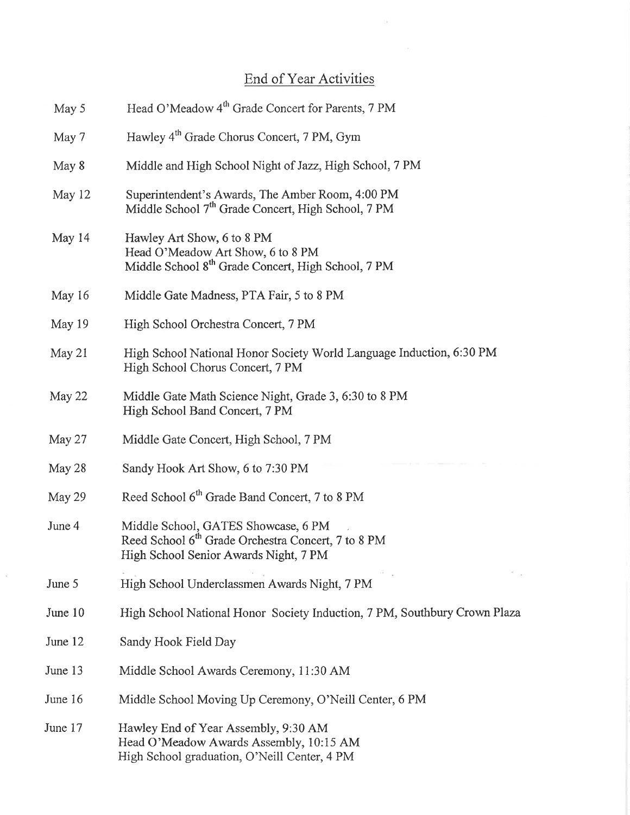## End of Year Activities

 $\sim$ 

| May 5   | Head O'Meadow 4 <sup>th</sup> Grade Concert for Parents, 7 PM                                                                                  |
|---------|------------------------------------------------------------------------------------------------------------------------------------------------|
| May 7   | Hawley 4 <sup>th</sup> Grade Chorus Concert, 7 PM, Gym                                                                                         |
| May 8   | Middle and High School Night of Jazz, High School, 7 PM                                                                                        |
| May 12  | Superintendent's Awards, The Amber Room, 4:00 PM<br>Middle School 7 <sup>th</sup> Grade Concert, High School, 7 PM                             |
| May 14  | Hawley Art Show, 6 to 8 PM<br>Head O'Meadow Art Show, 6 to 8 PM<br>Middle School 8 <sup>th</sup> Grade Concert, High School, 7 PM              |
| May 16  | Middle Gate Madness, PTA Fair, 5 to 8 PM                                                                                                       |
| May 19  | High School Orchestra Concert, 7 PM                                                                                                            |
| May 21  | High School National Honor Society World Language Induction, 6:30 PM<br>High School Chorus Concert, 7 PM                                       |
| May 22  | Middle Gate Math Science Night, Grade 3, 6:30 to 8 PM<br>High School Band Concert, 7 PM                                                        |
| May 27  | Middle Gate Concert, High School, 7 PM                                                                                                         |
| May 28  | Sandy Hook Art Show, 6 to 7:30 PM                                                                                                              |
| May 29  | Reed School 6 <sup>th</sup> Grade Band Concert, 7 to 8 PM                                                                                      |
| June 4  | Middle School, GATES Showcase, 6 PM<br>Reed School 6 <sup>th</sup> Grade Orchestra Concert, 7 to 8 PM<br>High School Senior Awards Night, 7 PM |
| June 5  | High School Underclassmen Awards Night, 7 PM                                                                                                   |
| June 10 | High School National Honor Society Induction, 7 PM, Southbury Crown Plaza                                                                      |
| June 12 | Sandy Hook Field Day                                                                                                                           |
| June 13 | Middle School Awards Ceremony, 11:30 AM                                                                                                        |
| June 16 | Middle School Moving Up Ceremony, O'Neill Center, 6 PM                                                                                         |
| June 17 | Hawley End of Year Assembly, 9:30 AM<br>Head O'Meadow Awards Assembly, 10:15 AM<br>High School graduation, O'Neill Center, 4 PM                |

 $\tilde{\mathcal{R}}$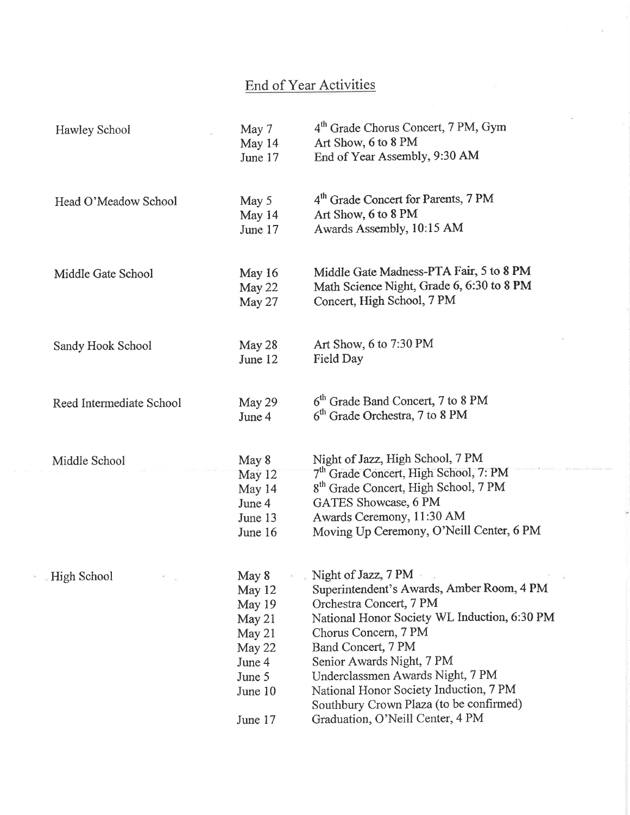## End of Year Activities

| Hawley School            | May 7<br>May 14<br>June 17 | 4 <sup>th</sup> Grade Chorus Concert, 7 PM, Gym<br>Art Show, 6 to 8 PM<br>End of Year Assembly, 9:30 AM |
|--------------------------|----------------------------|---------------------------------------------------------------------------------------------------------|
|                          |                            |                                                                                                         |
| Head O'Meadow School     | May 5                      | 4 <sup>th</sup> Grade Concert for Parents, 7 PM                                                         |
|                          | May 14                     | Art Show, 6 to 8 PM                                                                                     |
|                          | June 17                    | Awards Assembly, 10:15 AM                                                                               |
| Middle Gate School       | May 16                     | Middle Gate Madness-PTA Fair, 5 to 8 PM                                                                 |
|                          | May 22                     | Math Science Night, Grade 6, 6:30 to 8 PM                                                               |
|                          | May 27                     | Concert, High School, 7 PM                                                                              |
| Sandy Hook School        | May 28                     | Art Show, 6 to 7:30 PM                                                                                  |
|                          | June 12                    | Field Day                                                                                               |
| Reed Intermediate School | May 29                     | 6 <sup>th</sup> Grade Band Concert, 7 to 8 PM                                                           |
|                          | June 4                     | $6th$ Grade Orchestra, 7 to 8 PM                                                                        |
| Middle School            | May 8                      | Night of Jazz, High School, 7 PM                                                                        |
|                          | May 12                     | 7 <sup>th</sup> Grade Concert, High School, 7: PM                                                       |
|                          | May 14                     | 8 <sup>th</sup> Grade Concert, High School, 7 PM                                                        |
|                          | June 4                     | GATES Showcase, 6 PM                                                                                    |
|                          | June 13                    | Awards Ceremony, 11:30 AM                                                                               |
|                          | June 16                    | Moving Up Ceremony, O'Neill Center, 6 PM                                                                |
| High School              | May 8                      | Night of Jazz, $7 PM =$                                                                                 |
|                          | May 12                     | Superintendent's Awards, Amber Room, 4 PM                                                               |
|                          | May 19                     | Orchestra Concert, 7 PM                                                                                 |
|                          | May 21                     | National Honor Society WL Induction, 6:30 PM                                                            |
|                          | May 21                     | Chorus Concern, 7 PM                                                                                    |
|                          | May 22                     | Band Concert, 7 PM                                                                                      |
|                          | June 4                     | Senior Awards Night, 7 PM                                                                               |
|                          | June 5                     | Underclassmen Awards Night, 7 PM                                                                        |
|                          | June 10                    | National Honor Society Induction, 7 PM<br>Southbury Crown Plaza (to be confirmed)                       |
|                          | June 17                    | Graduation, O'Neill Center, 4 PM                                                                        |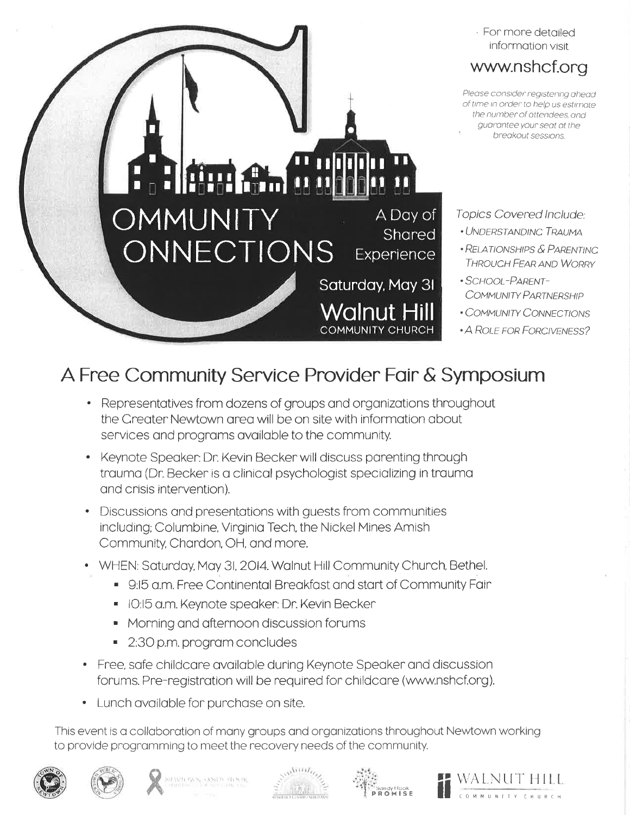

## A Free Community Service Provider Fair & Symposium

- Representatives from dozens of groups and organizations throughout the Creater Newtown area will be on site with information about services and programs available to the community.
- Keynote Speaker: Dr. Kevin Becker will discuss parenting through trauma (Dr. Becker is a clinical psychologist specializing in trauma and crisis intervention).
- Discussions and presentations with guests from communities including; Columbine, Virginia Tech, the Nickel Mines Amish Community, Chardon, OH, and more.
- WHEN: Saturday, May 31, 2014. Walnut Hill Community Church, Bethel.
	- 9:15 a.m. Free Continental Breakfast and start of Community Fair
	- IO:15 a.m. Keynote speaker: Dr. Kevin Becker
	- Morning and afternoon discussion forums
	- 2:30 p.m. program concludes
- Free, safe childcare available during Keynote Speaker and discussion forums. Pre-registration will be required for childcare (www.nshcf.org).
- Lunch available for purchase on site.

This event is a collaboration of many groups and organizations throughout Newtown working to provide programming to meet the recovery needs of the community.











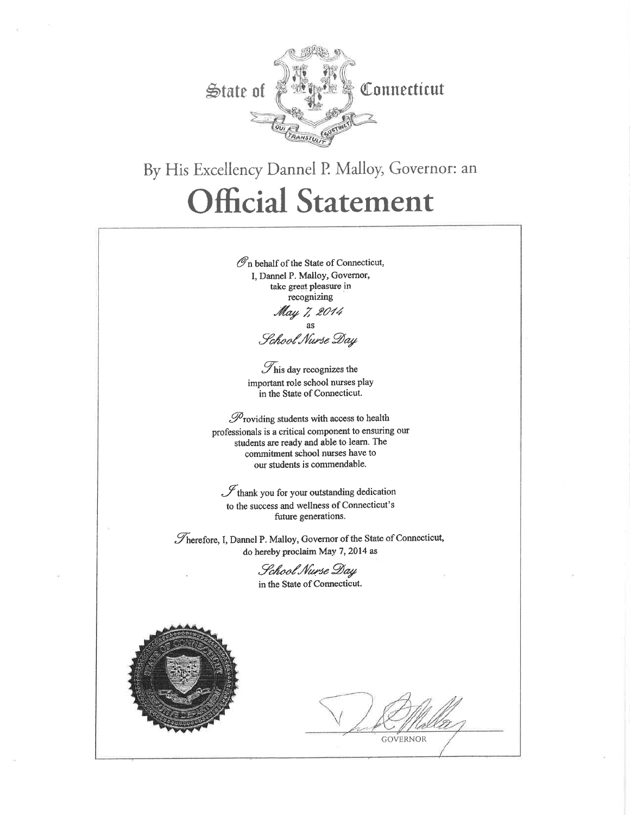

# By His Excellency Dannel P. Malloy, Governor: an **Official Statement**

 $\mathcal{O}_n$  behalf of the State of Connecticut, I. Dannel P. Malloy, Governor, take great pleasure in recognizing May 7, 2014 as

School Nurse Day

 $\mathcal{T}_{\text{his day recognizes the}}$ important role school nurses play in the State of Connecticut.

 $\mathscr{P}_{\text{roviding students with access to health}}$ professionals is a critical component to ensuring our students are ready and able to learn. The commitment school nurses have to our students is commendable.

 $\mathscr{I}$ thank you for your outstanding dedication to the success and wellness of Connecticut's future generations.

Therefore, I, Dannel P. Malloy, Governor of the State of Connecticut, do hereby proclaim May 7, 2014 as

> School Nurse Day in the State of Connecticut.



**GOVERNOR**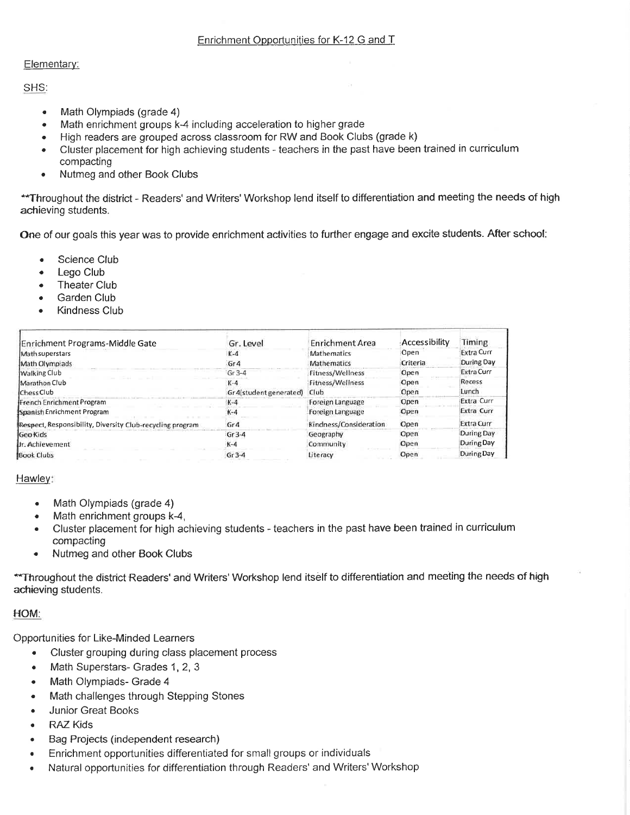#### Elementary:

SHS:

- Math Olympiads (grade 4)  $\bullet$
- Math enrichment groups k-4 including acceleration to higher grade  $\bullet$
- High readers are grouped across classroom for RW and Book Clubs (grade k)  $\bullet$
- Cluster placement for high achieving students teachers in the past have been trained in curriculum  $\bullet$ compacting
- Nutmeg and other Book Clubs  $\bullet$

\*\* Throughout the district - Readers' and Writers' Workshop lend itself to differentiation and meeting the needs of high achieving students.

One of our goals this year was to provide enrichment activities to further engage and excite students. After school:

- Science Club
- Lego Club
- **Theater Club**
- Garden Club
- **Kindness Club**

| Enrichment Programs-Middle Gate                           | Gr. Level               | <b>Enrichment Area</b> | Accessibility | Timing            |
|-----------------------------------------------------------|-------------------------|------------------------|---------------|-------------------|
| Math superstars                                           | $K-4$                   | <b>Mathematics</b>     | Open          | <b>Extra Curr</b> |
| Math Olympiads                                            | Gr <sub>4</sub>         | <b>Mathematics</b>     | Criteria      | During Day        |
| <b>Walking Club</b>                                       | $-6r3-4$                | Fitness/Wellness       | Open          | <b>Extra Curr</b> |
| Marathon Club                                             | $K-4$                   | Fitness/Wellness       | Open          | Recess            |
| Chess Club                                                | Gr 4(student generated) | Club                   | Open          | Lunch             |
| French Enrichment Program                                 | $K-4$                   | Foreign Language       | Open          | Extra Curr        |
| Spanish Enrichment Program                                | $K-4$                   | Foreign Language       | Open          | Extra Curr        |
| Respect, Responsibility, Diversity Club-recycling program | Gr <sub>4</sub>         | Kindness/Consideration | Open          | Extra Curr        |
| Geo Kids                                                  | $Gr 3-4$                | Geography              | Open          | During Day        |
| <b>Ur. Achievement</b>                                    | $K-4$                   | Community              | Open          | During Day        |
| <b>Book Clubs</b>                                         | $Gr 3-4$                | Literacy               | Open          | During Day        |

#### Hawley:

- Math Olympiads (grade 4)
- Math enrichment groups k-4,  $\bullet$
- Cluster placement for high achieving students teachers in the past have been trained in curriculum compacting
- Nutmeg and other Book Clubs

\*\* Throughout the district Readers' and Writers' Workshop lend itself to differentiation and meeting the needs of high achieving students.

#### HOM:

**Opportunities for Like-Minded Learners** 

- Cluster grouping during class placement process  $\bullet$
- Math Superstars- Grades 1, 2, 3  $\bullet$
- Math Olympiads- Grade 4 ۰
- Math challenges through Stepping Stones ٠
- **Junior Great Books**  $\bullet$
- **RAZ Kids**
- Bag Projects (independent research)
- Enrichment opportunities differentiated for small groups or individuals  $\bullet$
- Natural opportunities for differentiation through Readers' and Writers' Workshop  $\bullet$